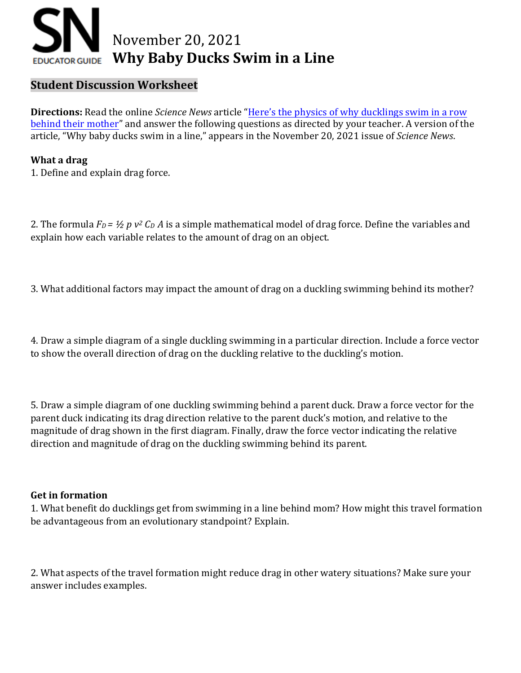

## **Student Discussion Worksheet**

**Directions:** Read the online *Science News* article ["Here's the physics of why](https://www.sciencenews.org/article/physics-why-ducklings-swim-row-behind-mother-duck-waves-energy) ducklings swim in a row [behind their mother](https://www.sciencenews.org/article/physics-why-ducklings-swim-row-behind-mother-duck-waves-energy)" and answer the following questions as directed by your teacher. A version of the article, "Why baby ducks swim in a line," appears in the November 20, 2021 issue of *Science News*.

## **What a drag**

1. Define and explain drag force.

2. The formula *F<sup>D</sup> = ½ p v <sup>2</sup> C<sup>D</sup> A* is a simple mathematical model of drag force. Define the variables and explain how each variable relates to the amount of drag on an object.

3. What additional factors may impact the amount of drag on a duckling swimming behind its mother?

4. Draw a simple diagram of a single duckling swimming in a particular direction. Include a force vector to show the overall direction of drag on the duckling relative to the duckling's motion.

5. Draw a simple diagram of one duckling swimming behind a parent duck. Draw a force vector for the parent duck indicating its drag direction relative to the parent duck's motion, and relative to the magnitude of drag shown in the first diagram. Finally, draw the force vector indicating the relative direction and magnitude of drag on the duckling swimming behind its parent.

## **Get in formation**

1. What benefit do ducklings get from swimming in a line behind mom? How might this travel formation be advantageous from an evolutionary standpoint? Explain.

2. What aspects of the travel formation might reduce drag in other watery situations? Make sure your answer includes examples.